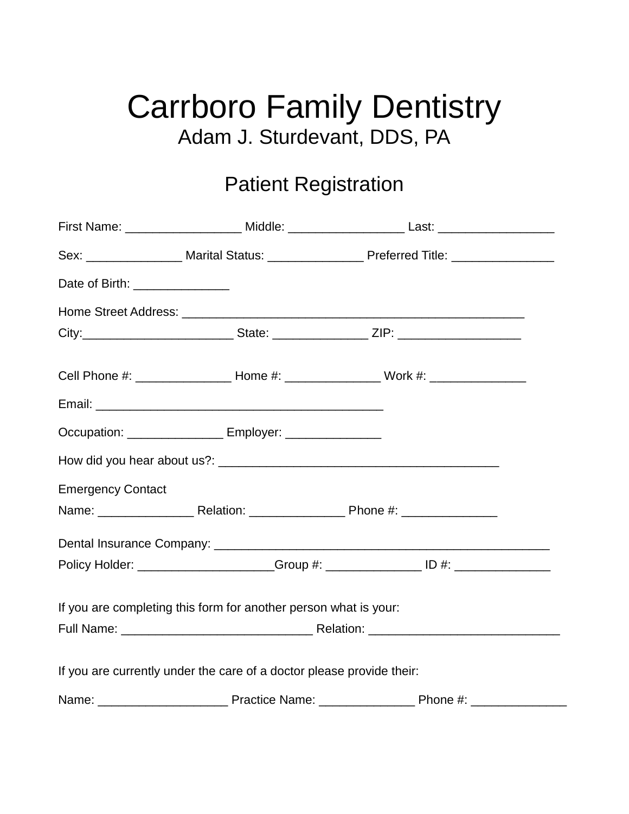# Carrboro Family Dentistry Adam J. Sturdevant, DDS, PA

# Patient Registration

|                                | First Name: ______________________ Middle: _______________________ Last: __________________________  |  |  |  |
|--------------------------------|------------------------------------------------------------------------------------------------------|--|--|--|
|                                |                                                                                                      |  |  |  |
| Date of Birth: _______________ |                                                                                                      |  |  |  |
|                                |                                                                                                      |  |  |  |
|                                | City:__________________________________State: _______________________ZIP: __________________________ |  |  |  |
|                                | Cell Phone #: _______________________ Home #: ________________________Work #: _____________________  |  |  |  |
|                                |                                                                                                      |  |  |  |
|                                | Occupation: __________________ Employer: ________________                                            |  |  |  |
|                                |                                                                                                      |  |  |  |
| <b>Emergency Contact</b>       |                                                                                                      |  |  |  |
|                                |                                                                                                      |  |  |  |
|                                |                                                                                                      |  |  |  |
|                                | Policy Holder: ______________________Group #: ________________ ID #: ___________                     |  |  |  |
|                                | If you are completing this form for another person what is your:                                     |  |  |  |
|                                |                                                                                                      |  |  |  |
|                                | If you are currently under the care of a doctor please provide their:                                |  |  |  |
|                                |                                                                                                      |  |  |  |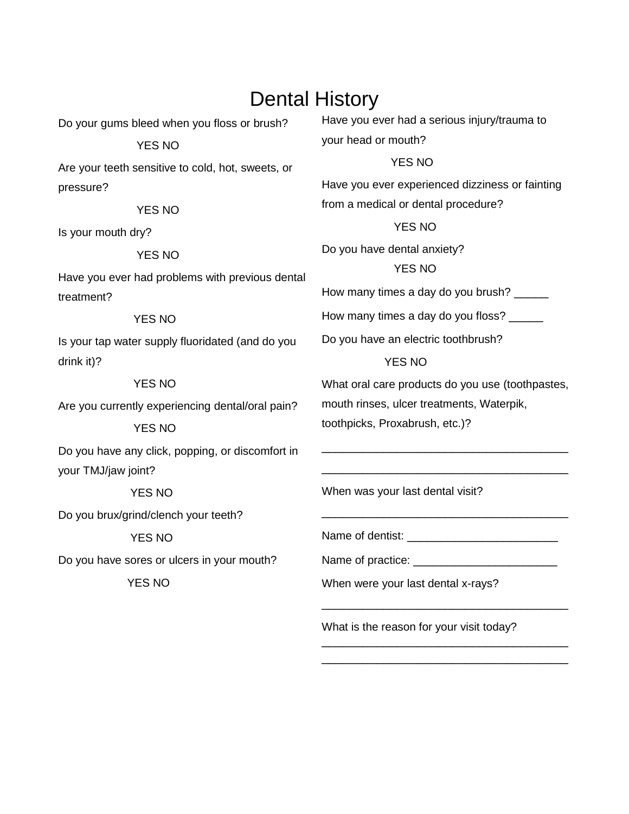## Dental History

Do your gums bleed when you floss or brush?

YES NO

Are your teeth sensitive to cold, hot, sweets, or pressure?

YES NO

Is your mouth dry?

YES NO

Have you ever had problems with previous dental treatment?

YES NO

Is your tap water supply fluoridated (and do you drink it)?

## YES NO

Are you currently experiencing dental/oral pain?

### YES NO

Do you have any click, popping, or discomfort in your TMJ/jaw joint?

## YES NO

Do you brux/grind/clench your teeth?

## YES NO

Do you have sores or ulcers in your mouth?

YES NO

Have you ever had a serious injury/trauma to your head or mouth?

### YES NO

Have you ever experienced dizziness or fainting from a medical or dental procedure?

YES NO

Do you have dental anxiety? YES NO

How many times a day do you brush? \_\_\_\_\_\_

How many times a day do you floss?

Do you have an electric toothbrush?

## YES NO

What oral care products do you use (toothpastes, mouth rinses, ulcer treatments, Waterpik, toothpicks, Proxabrush, etc.)?

\_\_\_\_\_\_\_\_\_\_\_\_\_\_\_\_\_\_\_\_\_\_\_\_\_\_\_\_\_\_\_\_\_\_\_\_

\_\_\_\_\_\_\_\_\_\_\_\_\_\_\_\_\_\_\_\_\_\_\_\_\_\_\_\_\_\_\_\_\_\_\_\_

\_\_\_\_\_\_\_\_\_\_\_\_\_\_\_\_\_\_\_\_\_\_\_\_\_\_\_\_\_\_\_\_\_\_\_\_

\_\_\_\_\_\_\_\_\_\_\_\_\_\_\_\_\_\_\_\_\_\_\_\_\_\_\_\_\_\_\_\_\_\_\_\_

\_\_\_\_\_\_\_\_\_\_\_\_\_\_\_\_\_\_\_\_\_\_\_\_\_\_\_\_\_\_\_\_\_\_\_\_ \_\_\_\_\_\_\_\_\_\_\_\_\_\_\_\_\_\_\_\_\_\_\_\_\_\_\_\_\_\_\_\_\_\_\_\_

When was your last dental visit?

Name of dentist: \_\_\_\_\_\_\_\_\_\_\_\_\_\_\_\_\_\_\_\_\_\_

Name of practice: \_\_\_\_\_\_\_\_\_\_\_\_\_\_\_\_\_\_\_\_\_

When were your last dental x-rays?

What is the reason for your visit today?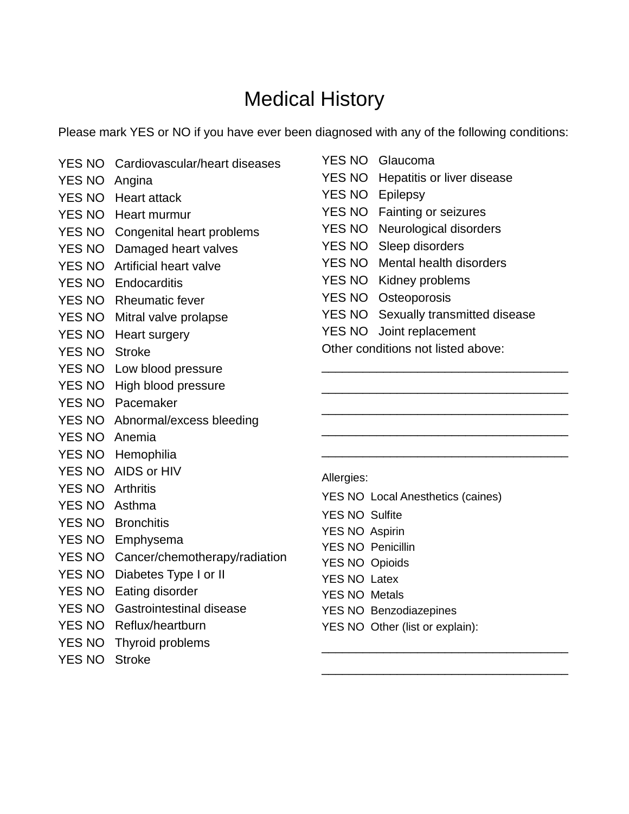# Medical History

Please mark YES or NO if you have ever been diagnosed with any of the following conditions:

| YES NO Angina<br><b>YES NO</b><br><b>YES NO Stroke</b><br>YES NO Anemia<br><b>YES NO Arthritis</b><br>YES NO Asthma<br><b>YES NO</b><br>YES NO | <b>YES NO</b> Cardiovascular/heart diseases<br><b>YES NO</b> Heart attack<br><b>YES NO</b> Heart murmur<br>YES NO Congenital heart problems<br>YES NO Damaged heart valves<br><b>YES NO</b> Artificial heart valve<br><b>YES NO Endocarditis</b><br><b>YES NO</b> Rheumatic fever<br>YES NO Mitral valve prolapse<br>Heart surgery<br>YES NO Low blood pressure<br>YES NO High blood pressure<br><b>YES NO Pacemaker</b><br>YES NO Abnormal/excess bleeding<br>YES NO Hemophilia<br>YES NO AIDS or HIV<br><b>YES NO Bronchitis</b><br>YES NO Emphysema<br>Cancer/chemotherapy/radiation<br>Diabetes Type I or II<br><b>YES NO</b> Eating disorder<br><b>YES NO</b> Gastrointestinal disease | YES NO<br><b>YES NO</b><br>Allergies:<br><b>YES NO Sulfite</b><br>YES NO Aspirin<br><b>YES NO Penicillin</b><br><b>YES NO Opioids</b><br><b>YES NO Latex</b><br><b>YES NO Metals</b> | YES NO Glaucoma<br>YES NO Hepatitis or liver disease<br>Epilepsy<br><b>YES NO</b> Fainting or seizures<br><b>YES NO</b> Neurological disorders<br>YES NO Sleep disorders<br>Mental health disorders<br>YES NO Kidney problems<br><b>YES NO Osteoporosis</b><br><b>YES NO</b> Sexually transmitted disease<br>YES NO Joint replacement<br>Other conditions not listed above:<br><b>YES NO Local Anesthetics (caines)</b> |
|------------------------------------------------------------------------------------------------------------------------------------------------|---------------------------------------------------------------------------------------------------------------------------------------------------------------------------------------------------------------------------------------------------------------------------------------------------------------------------------------------------------------------------------------------------------------------------------------------------------------------------------------------------------------------------------------------------------------------------------------------------------------------------------------------------------------------------------------------|--------------------------------------------------------------------------------------------------------------------------------------------------------------------------------------|-------------------------------------------------------------------------------------------------------------------------------------------------------------------------------------------------------------------------------------------------------------------------------------------------------------------------------------------------------------------------------------------------------------------------|
|                                                                                                                                                |                                                                                                                                                                                                                                                                                                                                                                                                                                                                                                                                                                                                                                                                                             |                                                                                                                                                                                      |                                                                                                                                                                                                                                                                                                                                                                                                                         |
|                                                                                                                                                |                                                                                                                                                                                                                                                                                                                                                                                                                                                                                                                                                                                                                                                                                             |                                                                                                                                                                                      |                                                                                                                                                                                                                                                                                                                                                                                                                         |
|                                                                                                                                                |                                                                                                                                                                                                                                                                                                                                                                                                                                                                                                                                                                                                                                                                                             |                                                                                                                                                                                      | <b>YES NO Benzodiazepines</b>                                                                                                                                                                                                                                                                                                                                                                                           |
|                                                                                                                                                | YES NO Reflux/heartburn                                                                                                                                                                                                                                                                                                                                                                                                                                                                                                                                                                                                                                                                     |                                                                                                                                                                                      | YES NO Other (list or explain):                                                                                                                                                                                                                                                                                                                                                                                         |
| <b>YES NO</b>                                                                                                                                  | Thyroid problems                                                                                                                                                                                                                                                                                                                                                                                                                                                                                                                                                                                                                                                                            |                                                                                                                                                                                      |                                                                                                                                                                                                                                                                                                                                                                                                                         |
| <b>YES NO Stroke</b>                                                                                                                           |                                                                                                                                                                                                                                                                                                                                                                                                                                                                                                                                                                                                                                                                                             |                                                                                                                                                                                      |                                                                                                                                                                                                                                                                                                                                                                                                                         |
|                                                                                                                                                |                                                                                                                                                                                                                                                                                                                                                                                                                                                                                                                                                                                                                                                                                             |                                                                                                                                                                                      |                                                                                                                                                                                                                                                                                                                                                                                                                         |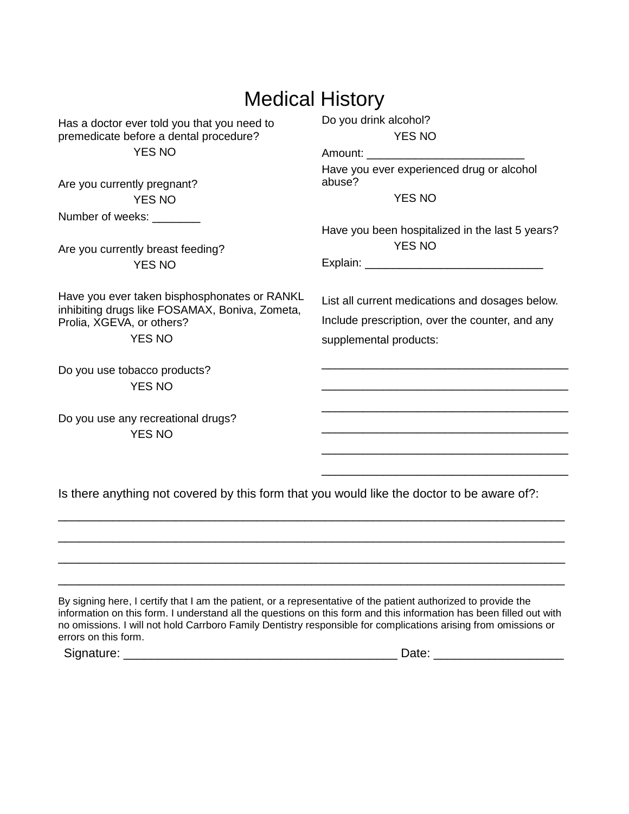# Medical History

Has a doctor ever told you that you need to premedicate before a dental procedure? YES NO

YES NO

Do you drink alcohol? YES NO

supplemental products:

Amount:

Have you ever experienced drug or alcohol abuse?

YES NO

Have you been hospitalized in the last 5 years? YES NO

List all current medications and dosages below.

Include prescription, over the counter, and any

\_\_\_\_\_\_\_\_\_\_\_\_\_\_\_\_\_\_\_\_\_\_\_\_\_\_\_\_\_\_\_\_\_\_\_\_

\_\_\_\_\_\_\_\_\_\_\_\_\_\_\_\_\_\_\_\_\_\_\_\_\_\_\_\_\_\_\_\_\_\_\_\_

\_\_\_\_\_\_\_\_\_\_\_\_\_\_\_\_\_\_\_\_\_\_\_\_\_\_\_\_\_\_\_\_\_\_\_\_

\_\_\_\_\_\_\_\_\_\_\_\_\_\_\_\_\_\_\_\_\_\_\_\_\_\_\_\_\_\_\_\_\_\_\_\_

\_\_\_\_\_\_\_\_\_\_\_\_\_\_\_\_\_\_\_\_\_\_\_\_\_\_\_\_\_\_\_\_\_\_\_\_

\_\_\_\_\_\_\_\_\_\_\_\_\_\_\_\_\_\_\_\_\_\_\_\_\_\_\_\_\_\_\_\_\_\_\_\_

Explain: \_\_\_\_\_\_\_\_\_\_\_\_\_\_\_\_\_\_\_\_\_\_\_\_\_\_

Have you ever taken bisphosphonates or RANKL inhibiting drugs like FOSAMAX, Boniva, Zometa, Prolia, XGEVA, or others? YES NO

Do you use tobacco products? YES NO

Are you currently pregnant?

Number of weeks:

Are you currently breast feeding? YES NO

Do you use any recreational drugs? YES NO

Is there anything not covered by this form that you would like the doctor to be aware of?:

\_\_\_\_\_\_\_\_\_\_\_\_\_\_\_\_\_\_\_\_\_\_\_\_\_\_\_\_\_\_\_\_\_\_\_\_\_\_\_\_\_\_\_\_\_\_\_\_\_\_\_\_\_\_\_\_\_\_\_\_\_\_\_\_\_\_\_\_\_\_\_\_\_\_

\_\_\_\_\_\_\_\_\_\_\_\_\_\_\_\_\_\_\_\_\_\_\_\_\_\_\_\_\_\_\_\_\_\_\_\_\_\_\_\_\_\_\_\_\_\_\_\_\_\_\_\_\_\_\_\_\_\_\_\_\_\_\_\_\_\_\_\_\_\_\_\_\_\_

\_\_\_\_\_\_\_\_\_\_\_\_\_\_\_\_\_\_\_\_\_\_\_\_\_\_\_\_\_\_\_\_\_\_\_\_\_\_\_\_\_\_\_\_\_\_\_\_\_\_\_\_\_\_\_\_\_\_\_\_\_\_\_\_\_\_\_\_\_\_\_\_\_\_

\_\_\_\_\_\_\_\_\_\_\_\_\_\_\_\_\_\_\_\_\_\_\_\_\_\_\_\_\_\_\_\_\_\_\_\_\_\_\_\_\_\_\_\_\_\_\_\_\_\_\_\_\_\_\_\_\_\_\_\_\_\_\_\_\_\_\_\_\_\_\_\_\_\_

By signing here, I certify that I am the patient, or a representative of the patient authorized to provide the information on this form. I understand all the questions on this form and this information has been filled out with no omissions. I will not hold Carrboro Family Dentistry responsible for complications arising from omissions or errors on this form.

Signature: \_\_\_\_\_\_\_\_\_\_\_\_\_\_\_\_\_\_\_\_\_\_\_\_\_\_\_\_\_\_\_\_\_\_\_\_\_\_\_\_ Date: \_\_\_\_\_\_\_\_\_\_\_\_\_\_\_\_\_\_\_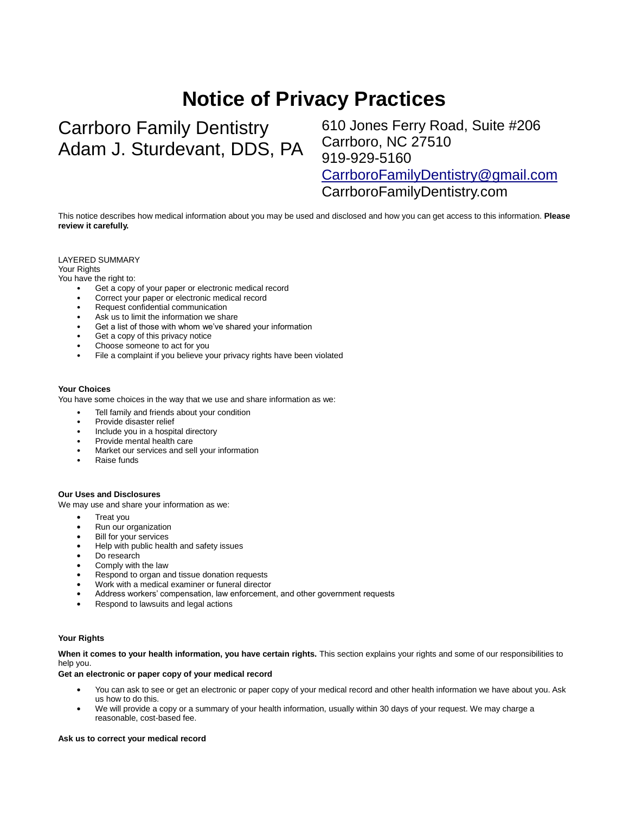# **Notice of Privacy Practices**

Carrboro Family Dentistry Adam J. Sturdevant, DDS, PA 610 Jones Ferry Road, Suite #206 Carrboro, NC 27510 919-929-5160 [CarrboroFamilyDentistry@gmail.com](mailto:CarrboroFamilyDentistry@gmail.com) CarrboroFamilyDentistry.com

This notice describes how medical information about you may be used and disclosed and how you can get access to this information. **Please review it carefully.**

#### LAYERED SUMMARY Your Rights

You have the right to:

- Get a copy of your paper or electronic medical record
- Correct your paper or electronic medical record
- Request confidential communication
- Ask us to limit the information we share
- Get a list of those with whom we've shared your information
- Get a copy of this privacy notice
- Choose someone to act for you
- File a complaint if you believe your privacy rights have been violated

#### **Your Choices**

You have some choices in the way that we use and share information as we:

- Tell family and friends about your condition
- Provide disaster relief
- Include you in a hospital directory
- Provide mental health care
- Market our services and sell your information
- Raise funds

#### **Our Uses and Disclosures**

We may use and share your information as we:

- **•** Treat you
- **•** Run our organization
- **•** Bill for your services
- **•** Help with public health and safety issues
- **•** Do research
- **•** Comply with the law
- **•** Respond to organ and tissue donation requests
- **•** Work with a medical examiner or funeral director
- **•** Address workers' compensation, law enforcement, and other government requests
- **•** Respond to lawsuits and legal actions

#### **Your Rights**

**When it comes to your health information, you have certain rights.** This section explains your rights and some of our responsibilities to help you.

**Get an electronic or paper copy of your medical record** 

- **•** You can ask to see or get an electronic or paper copy of your medical record and other health information we have about you. Ask us how to do this.
- **•** We will provide a copy or a summary of your health information, usually within 30 days of your request. We may charge a reasonable, cost-based fee.

#### **Ask us to correct your medical record**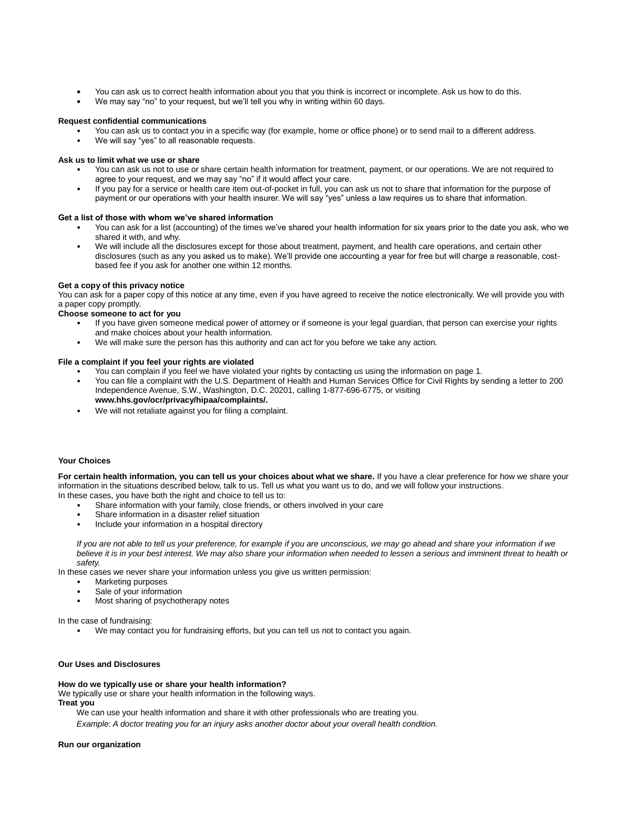- **•** You can ask us to correct health information about you that you think is incorrect or incomplete. Ask us how to do this.
- **•** We may say "no" to your request, but we'll tell you why in writing within 60 days.

#### **Request confidential communications**

- You can ask us to contact you in a specific way (for example, home or office phone) or to send mail to a different address.
- We will say "yes" to all reasonable requests.

#### **Ask us to limit what we use or share**

- You can ask us not to use or share certain health information for treatment, payment, or our operations. We are not required to agree to your request, and we may say "no" if it would affect your care.
- If you pay for a service or health care item out-of-pocket in full, you can ask us not to share that information for the purpose of payment or our operations with your health insurer. We will say "yes" unless a law requires us to share that information.

#### **Get a list of those with whom we've shared information**

- You can ask for a list (accounting) of the times we've shared your health information for six years prior to the date you ask, who we shared it with, and why.
- We will include all the disclosures except for those about treatment, payment, and health care operations, and certain other disclosures (such as any you asked us to make). We'll provide one accounting a year for free but will charge a reasonable, costbased fee if you ask for another one within 12 months.

#### **Get a copy of this privacy notice**

You can ask for a paper copy of this notice at any time, even if you have agreed to receive the notice electronically. We will provide you with a paper copy promptly.

#### **Choose someone to act for you**

- If you have given someone medical power of attorney or if someone is your legal guardian, that person can exercise your rights and make choices about your health information.
- We will make sure the person has this authority and can act for you before we take any action.

#### **File a complaint if you feel your rights are violated**

- You can complain if you feel we have violated your rights by contacting us using the information on page 1.
- You can file a complaint with the U.S. Department of Health and Human Services Office for Civil Rights by sending a letter to 200 Independence Avenue, S.W., Washington, D.C. 20201, calling 1-877-696-6775, or visiting
- **www.hhs.gov/ocr/privacy/hipaa/complaints/.** • We will not retaliate against you for filing a complaint.

#### **Your Choices**

**For certain health information, you can tell us your choices about what we share.** If you have a clear preference for how we share your information in the situations described below, talk to us. Tell us what you want us to do, and we will follow your instructions. In these cases, you have both the right and choice to tell us to:

- Share information with your family, close friends, or others involved in your care
- Share information in a disaster relief situation
- Include your information in a hospital directory

*If you are not able to tell us your preference, for example if you are unconscious, we may go ahead and share your information if we believe it is in your best interest. We may also share your information when needed to lessen a serious and imminent threat to health or safety.*

In these cases we never share your information unless you give us written permission:

- Marketing purposes
- Sale of your information
- Most sharing of psychotherapy notes

In the case of fundraising:

• We may contact you for fundraising efforts, but you can tell us not to contact you again.

#### **Our Uses and Disclosures**

#### **How do we typically use or share your health information?**

We typically use or share your health information in the following ways. **Treat you**

We can use your health information and share it with other professionals who are treating you.

*Example: A doctor treating you for an injury asks another doctor about your overall health condition.*

#### **Run our organization**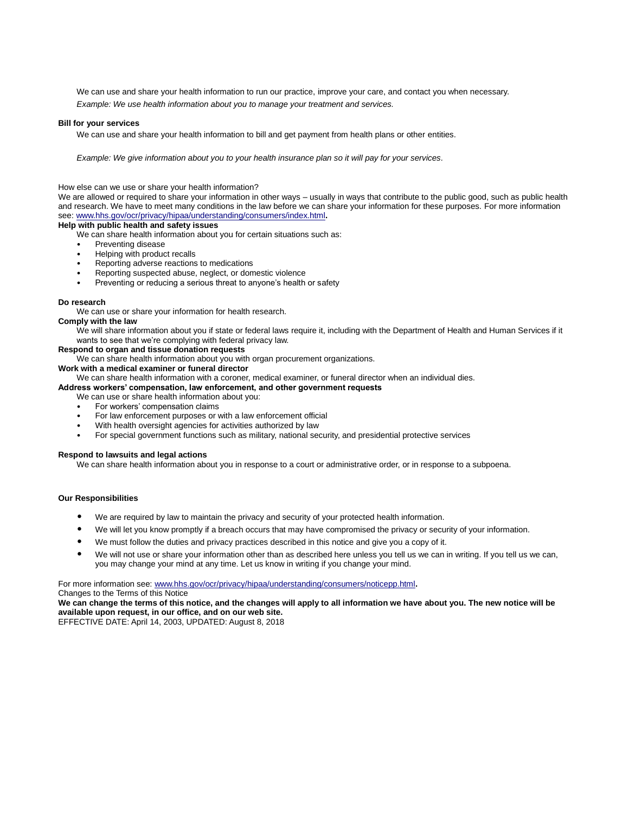We can use and share your health information to run our practice, improve your care, and contact you when necessary. *Example: We use health information about you to manage your treatment and services.* 

#### **Bill for your services**

We can use and share your health information to bill and get payment from health plans or other entities.

*Example: We give information about you to your health insurance plan so it will pay for your services.* 

#### How else can we use or share your health information?

We are allowed or required to share your information in other ways – usually in ways that contribute to the public good, such as public health and research. We have to meet many conditions in the law before we can share your information for these purposes. For more information see: [www.hhs.gov/ocr/privacy/hipaa/understanding/consumers/index.html](http://www.hhs.gov/ocr/privacy/hipaa/understanding/consumers/index.html)**.**

#### **Help with public health and safety issues**

We can share health information about you for certain situations such as:

- Preventing disease
- Helping with product recalls
- Reporting adverse reactions to medications
- Reporting suspected abuse, neglect, or domestic violence
- Preventing or reducing a serious threat to anyone's health or safety

#### **Do research**

We can use or share your information for health research.

#### **Comply with the law**

We will share information about you if state or federal laws require it, including with the Department of Health and Human Services if it wants to see that we're complying with federal privacy law.

#### **Respond to organ and tissue donation requests**

We can share health information about you with organ procurement organizations.

**Work with a medical examiner or funeral director**

We can share health information with a coroner, medical examiner, or funeral director when an individual dies.

#### **Address workers' compensation, law enforcement, and other government requests**

We can use or share health information about you:

- For workers' compensation claims
- For law enforcement purposes or with a law enforcement official
- With health oversight agencies for activities authorized by law
- For special government functions such as military, national security, and presidential protective services

#### **Respond to lawsuits and legal actions**

We can share health information about you in response to a court or administrative order, or in response to a subpoena.

#### **Our Responsibilities**

- We are required by law to maintain the privacy and security of your protected health information.
- We will let you know promptly if a breach occurs that may have compromised the privacy or security of your information.
- We must follow the duties and privacy practices described in this notice and give you a copy of it.
- We will not use or share your information other than as described here unless you tell us we can in writing. If you tell us we can, you may change your mind at any time. Let us know in writing if you change your mind.

For more information see[: www.hhs.gov/ocr/privacy/hipaa/understanding/consumers/noticepp.html](http://www.hhs.gov/ocr/privacy/hipaa/understanding/consumers/noticepp.html)**.**

Changes to the Terms of this Notice

**We can change the terms of this notice, and the changes will apply to all information we have about you. The new notice will be available upon request, in our office, and on our web site.**

EFFECTIVE DATE: April 14, 2003, UPDATED: August 8, 2018